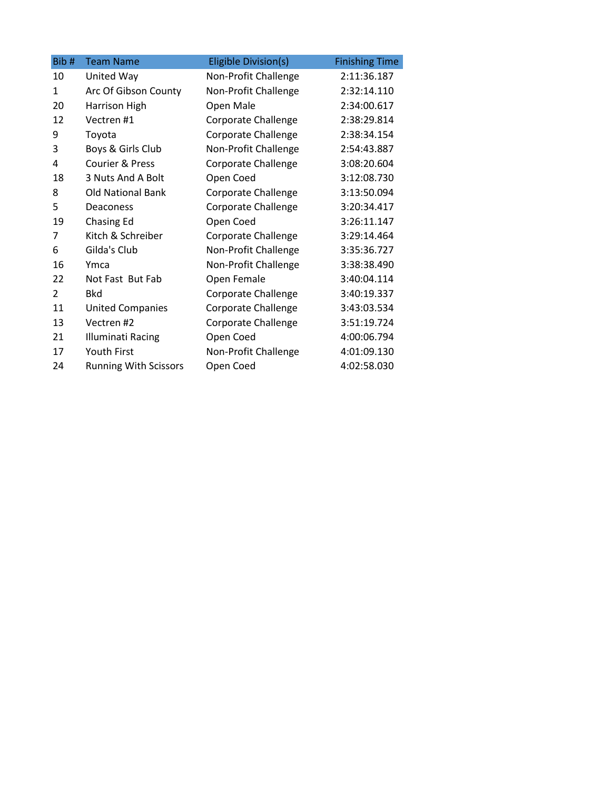| Bib#           | <b>Team Name</b>             | Eligible Division(s)       | <b>Finishing Time</b> |
|----------------|------------------------------|----------------------------|-----------------------|
| 10             | United Way                   | Non-Profit Challenge       | 2:11:36.187           |
| $\mathbf{1}$   | Arc Of Gibson County         | Non-Profit Challenge       | 2:32:14.110           |
| 20             | Harrison High                | Open Male                  | 2:34:00.617           |
| 12             | Vectren #1                   | Corporate Challenge        | 2:38:29.814           |
| 9              | Toyota                       | Corporate Challenge        | 2:38:34.154           |
| 3              | Boys & Girls Club            | Non-Profit Challenge       | 2:54:43.887           |
| 4              | <b>Courier &amp; Press</b>   | <b>Corporate Challenge</b> | 3:08:20.604           |
| 18             | 3 Nuts And A Bolt            | Open Coed                  | 3:12:08.730           |
| 8              | <b>Old National Bank</b>     | Corporate Challenge        | 3:13:50.094           |
| 5              | Deaconess                    | <b>Corporate Challenge</b> | 3:20:34.417           |
| 19             | <b>Chasing Ed</b>            | Open Coed                  | 3:26:11.147           |
| 7              | Kitch & Schreiber            | Corporate Challenge        | 3:29:14.464           |
| 6              | Gilda's Club                 | Non-Profit Challenge       | 3:35:36.727           |
| 16             | Ymca                         | Non-Profit Challenge       | 3:38:38.490           |
| 22             | Not Fast But Fab             | Open Female                | 3:40:04.114           |
| $\overline{2}$ | <b>Bkd</b>                   | <b>Corporate Challenge</b> | 3:40:19.337           |
| 11             | <b>United Companies</b>      | Corporate Challenge        | 3:43:03.534           |
| 13             | Vectren#2                    | Corporate Challenge        | 3:51:19.724           |
| 21             | <b>Illuminati Racing</b>     | Open Coed                  | 4:00:06.794           |
| 17             | Youth First                  | Non-Profit Challenge       | 4:01:09.130           |
| 24             | <b>Running With Scissors</b> | Open Coed                  | 4:02:58.030           |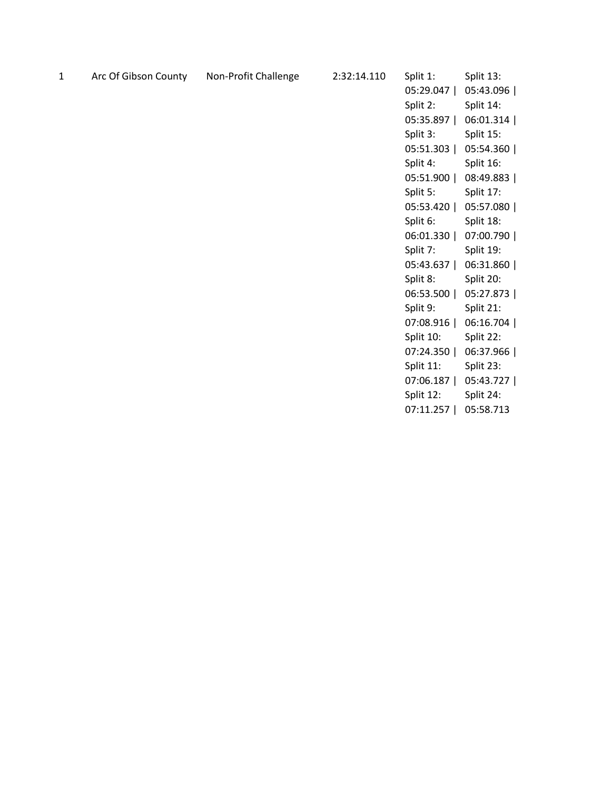1 Arc Of Gibson County Non-Profit Challenge 2:32:14.110

| Split 1:       | Split 13: |
|----------------|-----------|
| 05:29.047      | 05:43.096 |
| Split 2:       | Split 14: |
| 05:35.897      | 06:01.314 |
| Split 3:       | Split 15: |
| 05:51.303      | 05:54.360 |
| Split 4:       | Split 16: |
| 05:51.900      | 08:49.883 |
| Split 5:       | Split 17: |
| 05:53.420      | 05:57.080 |
| Split 6:       | Split 18: |
| 06:01.330      | 07:00.790 |
| Split 7:       | Split 19: |
| 05:43.637      | 06:31.860 |
| Split 8:       | Split 20: |
| 06:53.500      | 05:27.873 |
| Split 9:       | Split 21: |
| 07:08.916      | 06:16.704 |
| Split 10:      | Split 22: |
| 07:24.350      | 06:37.966 |
| Split 11:      | Split 23: |
| 07:06.187      | 05:43.727 |
| Split 12:      | Split 24: |
| 07:11.257<br>I | 05:58.713 |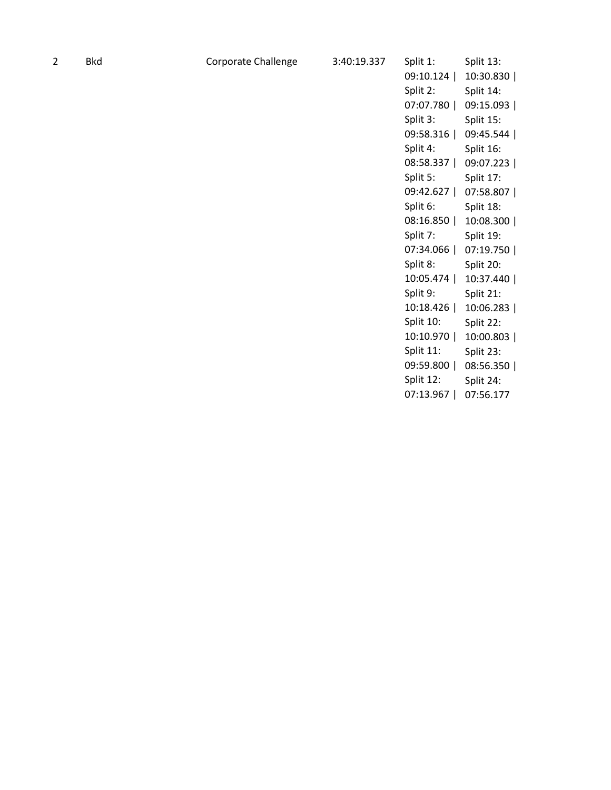| Bkı |
|-----|
|     |

| Split 1:                              | Split 13: |
|---------------------------------------|-----------|
| 09:10.124                             | 10:30.830 |
| Split 2:                              | Split 14: |
| 07:07.780                             | 09:15.093 |
| Split 3:                              | Split 15: |
| 09:58.316                             | 09:45.544 |
| Split 4:                              | Split 16: |
| 08:58.337                             | 09:07.223 |
| Split 5:                              | Split 17: |
| 09:42.627<br>ı                        | 07:58.807 |
| Split 6:                              | Split 18: |
| 08:16.850<br>$\overline{\phantom{a}}$ | 10:08.300 |
| Split 7:                              | Split 19: |
| 07:34.066<br>$\overline{\phantom{a}}$ | 07:19.750 |
| Split 8:                              | Split 20: |
| 10:05.474<br>$\overline{\phantom{a}}$ | 10:37.440 |
| Split 9:                              | Split 21: |
| 10:18.426                             | 10:06.283 |
| Split 10:                             | Split 22: |
| 10:10.970                             | 10:00.803 |
| Split 11:                             | Split 23: |
| 09:59.800                             | 08:56.350 |
| Split 12:                             | Split 24: |
| 07:13.967<br>I                        | 07:56.177 |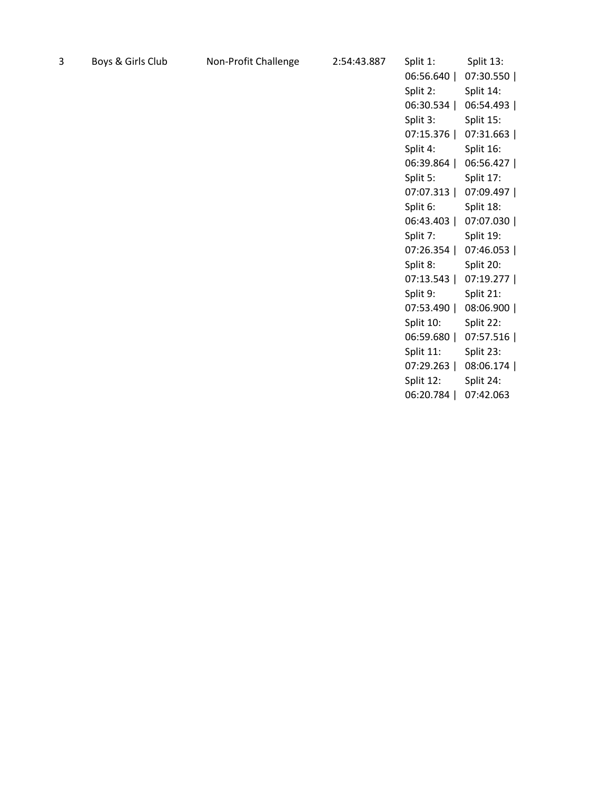| 3 | Boys & Girls Club | Non-Profit Challenge | 2:54:43.887 | Split 1:  | Split 13: |
|---|-------------------|----------------------|-------------|-----------|-----------|
|   |                   |                      |             | 06:56.640 | 07:30.550 |
|   |                   |                      |             | Split 2:  | Split 14: |
|   |                   |                      |             | 06:30.534 | 06:54.493 |
|   |                   |                      |             | Split 3:  | Split 15: |
|   |                   |                      |             | 07:15.376 | 07:31.663 |
|   |                   |                      |             | Split 4:  | Split 16: |
|   |                   |                      |             | 06:39.864 | 06:56.427 |
|   |                   |                      |             | Split 5:  | Split 17: |
|   |                   |                      |             | 07:07.313 | 07:09.497 |
|   |                   |                      |             | Split 6:  | Split 18: |
|   |                   |                      |             | 06:43.403 | 07:07.030 |
|   |                   |                      |             | Split 7:  | Split 19: |
|   |                   |                      |             | 07:26.354 | 07:46.053 |
|   |                   |                      |             | Split 8:  | Split 20: |
|   |                   |                      |             | 07:13.543 | 07:19.277 |
|   |                   |                      |             | Split 9:  | Split 21: |
|   |                   |                      |             | 07:53.490 | 08:06.900 |
|   |                   |                      |             | Split 10: | Split 22: |
|   |                   |                      |             | 06:59.680 | 07:57.516 |
|   |                   |                      |             | Split 11: | Split 23: |

07:29.263 | 08:06.174 |

Split 24:

06:20.784 | 07:42.063

Split 12: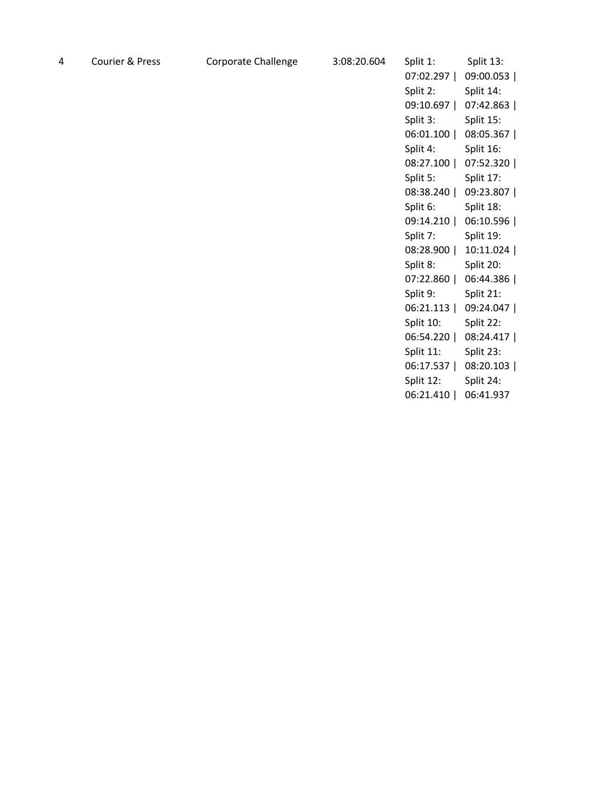| 4 | Courier & Press | Corporate Challenge | 3:08:20.604 | Split 1:<br>07:02.297  <br>Split 2:<br>09:10.697  <br>Split 3:<br>06:01.100 | Split 13:<br>09:00.053<br>Split 14:<br>07:42.863<br>Split 15:<br>08:05.367 |
|---|-----------------|---------------------|-------------|-----------------------------------------------------------------------------|----------------------------------------------------------------------------|
|   |                 |                     |             | 08:27.100                                                                   | 07:52.320                                                                  |
|   |                 |                     |             | Split 5:                                                                    | Split 17:                                                                  |
|   |                 |                     |             | 08:38.240                                                                   | 09:23.807                                                                  |
|   |                 |                     |             | Split 6:                                                                    | Split 18:                                                                  |
|   |                 |                     |             | 09:14.210                                                                   | 06:10.596                                                                  |
|   |                 |                     |             | Split 7:                                                                    | Split 19:                                                                  |
|   |                 |                     |             | 08:28.900                                                                   | 10:11.024                                                                  |
|   |                 |                     |             | Split 8:                                                                    | Split 20:                                                                  |
|   |                 |                     |             | 07:22.860                                                                   | 06:44.386                                                                  |
|   |                 |                     |             | Split 9:                                                                    | Split 21:                                                                  |
|   |                 |                     |             | 06:21.113                                                                   | 09:24.047                                                                  |
|   |                 |                     |             | Split 10:                                                                   | Split 22:                                                                  |
|   |                 |                     |             | 06:54.220                                                                   | 08:24.417                                                                  |
|   |                 |                     |             | Split 11:                                                                   | Split 23:                                                                  |
|   |                 |                     |             | 06:17.537                                                                   | 08:20.103                                                                  |
|   |                 |                     |             | Split 12:                                                                   | Split 24:                                                                  |
|   |                 |                     |             | 06:21.410                                                                   | 06:41.937                                                                  |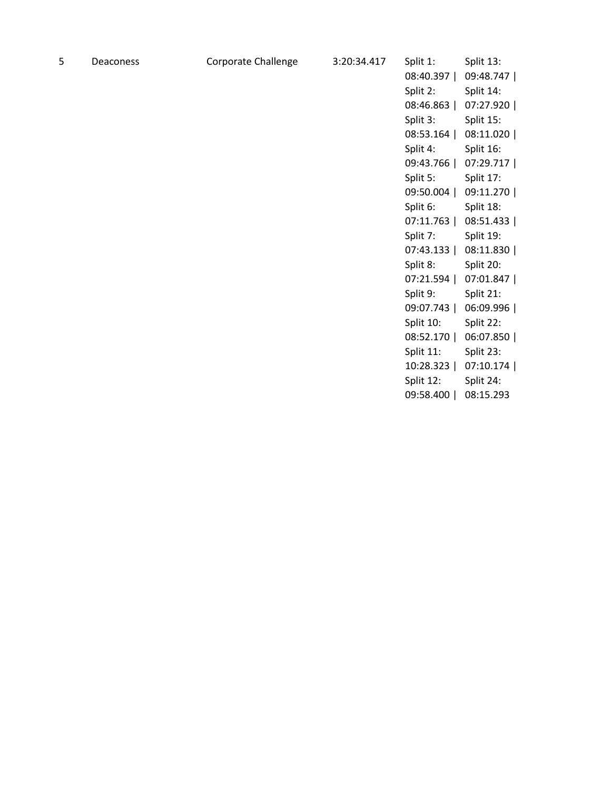| Deacones |
|----------|
|----------|

| Split 1:       | Split 13: |
|----------------|-----------|
| 08:40.397      | 09:48.747 |
| Split 2:       | Split 14: |
| 08:46.863      | 07:27.920 |
| Split 3:       | Split 15: |
| 08:53.164      | 08:11.020 |
| Split 4:       | Split 16: |
| 09:43.766      | 07:29.717 |
| Split 5:       | Split 17: |
| 09:50.004      | 09:11.270 |
| Split 6:       | Split 18: |
| 07:11.763      | 08:51.433 |
| Split 7:       | Split 19: |
| 07:43.133      | 08:11.830 |
| Split 8:       | Split 20: |
| 07:21.594      | 07:01.847 |
| Split 9:       | Split 21: |
| 09:07.743      | 06:09.996 |
| Split 10:      | Split 22: |
| 08:52.170      | 06:07.850 |
| Split 11:      | Split 23: |
| 10:28.323      | 07:10.174 |
| Split 12:      | Split 24: |
| 09:58.400<br>I | 08:15.293 |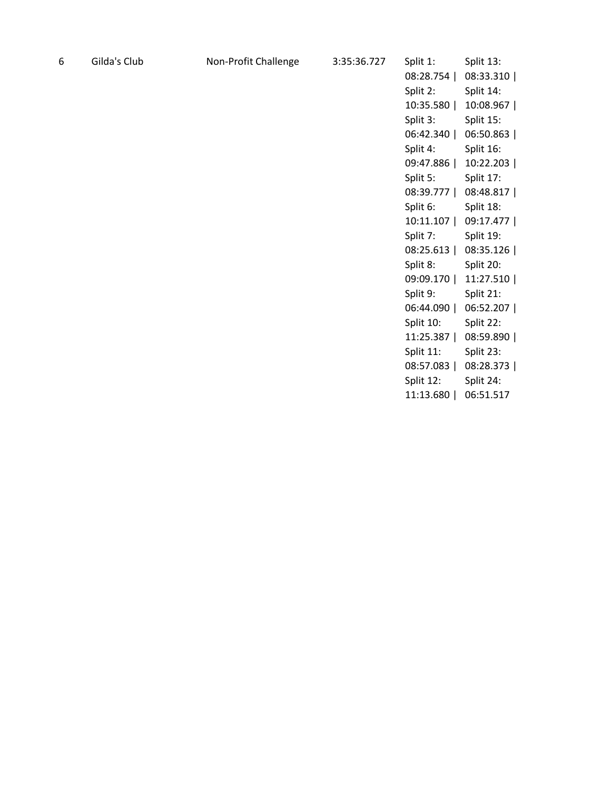| 6 | Gilda's Club | Non-Profit Challenge | 3:35:36.727 | Split 1:  | Split 13: |
|---|--------------|----------------------|-------------|-----------|-----------|
|   |              |                      |             | 08:28.754 | 08:33.310 |
|   |              |                      |             |           |           |
|   |              |                      |             | Split 2:  | Split 14: |
|   |              |                      |             | 10:35.580 | 10:08.967 |
|   |              |                      |             | Split 3:  | Split 15: |
|   |              |                      |             | 06:42.340 | 06:50.863 |
|   |              |                      |             | Split 4:  | Split 16: |
|   |              |                      |             | 09:47.886 | 10:22.203 |
|   |              |                      |             | Split 5:  | Split 17: |
|   |              |                      |             | 08:39.777 | 08:48.817 |
|   |              |                      |             | Split 6:  | Split 18: |
|   |              |                      |             | 10:11.107 | 09:17.477 |
|   |              |                      |             | Split 7:  | Split 19: |
|   |              |                      |             | 08:25.613 | 08:35.126 |
|   |              |                      |             | Split 8:  | Split 20: |
|   |              |                      |             | 09:09.170 | 11:27.510 |
|   |              |                      |             | Split 9:  | Split 21: |
|   |              |                      |             | 06:44.090 | 06:52.207 |
|   |              |                      |             | Split 10: | Split 22: |
|   |              |                      |             | 11:25.387 | 08:59.890 |
|   |              |                      |             | Split 11: | Split 23: |
|   |              |                      |             | 08:57.083 | 08:28.373 |
|   |              |                      |             |           |           |
|   |              |                      |             | Split 12: | Split 24: |

11:13.680 | 06:51.517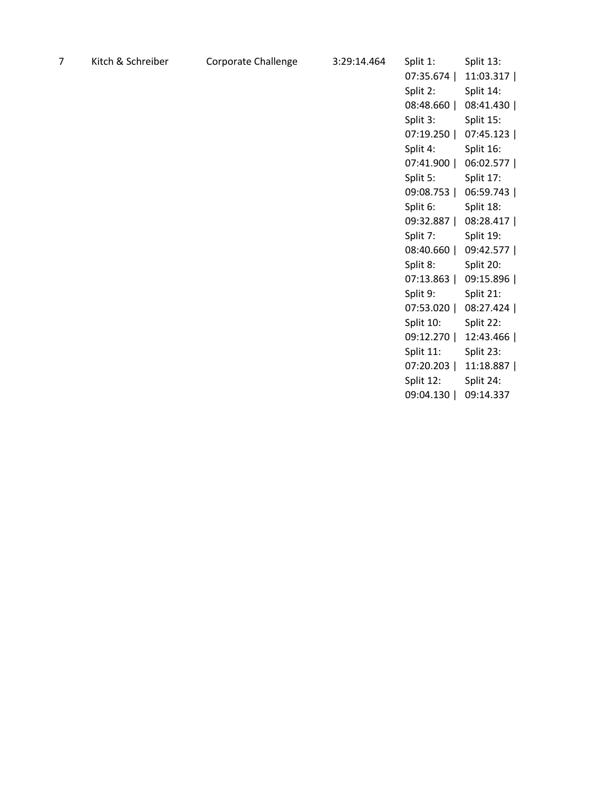| $\overline{7}$ | Kitch & Schreiber | Corporate Challenge | 3:29:14.464 | Split 1:  | Split 13: |
|----------------|-------------------|---------------------|-------------|-----------|-----------|
|                |                   |                     |             | 07:35.674 | 11:03.317 |
|                |                   |                     |             | Split 2:  | Split 14: |
|                |                   |                     |             | 08:48.660 | 08:41.430 |
|                |                   |                     |             | Split 3:  | Split 15: |
|                |                   |                     |             | 07:19.250 | 07:45.123 |
|                |                   |                     |             | Split 4:  | Split 16: |
|                |                   |                     |             | 07:41.900 | 06:02.577 |
|                |                   |                     |             | Split 5:  | Split 17: |
|                |                   |                     |             | 09:08.753 | 06:59.743 |
|                |                   |                     |             | Split 6:  | Split 18: |
|                |                   |                     |             | 09:32.887 | 08:28.417 |
|                |                   |                     |             | Split 7:  | Split 19: |
|                |                   |                     |             | 08:40.660 | 09:42.577 |
|                |                   |                     |             | Split 8:  | Split 20: |
|                |                   |                     |             | 07:13.863 | 09:15.896 |
|                |                   |                     |             | Split 9:  | Split 21: |
|                |                   |                     |             | 07:53.020 | 08:27.424 |
|                |                   |                     |             | Split 10: | Split 22: |
|                |                   |                     |             | 09:12.270 | 12:43.466 |
|                |                   |                     |             | Split 11: | Split 23: |

Split 12: 09:04.130 | 09:14.337Split 24:

07:20.203 | 11:18.887 |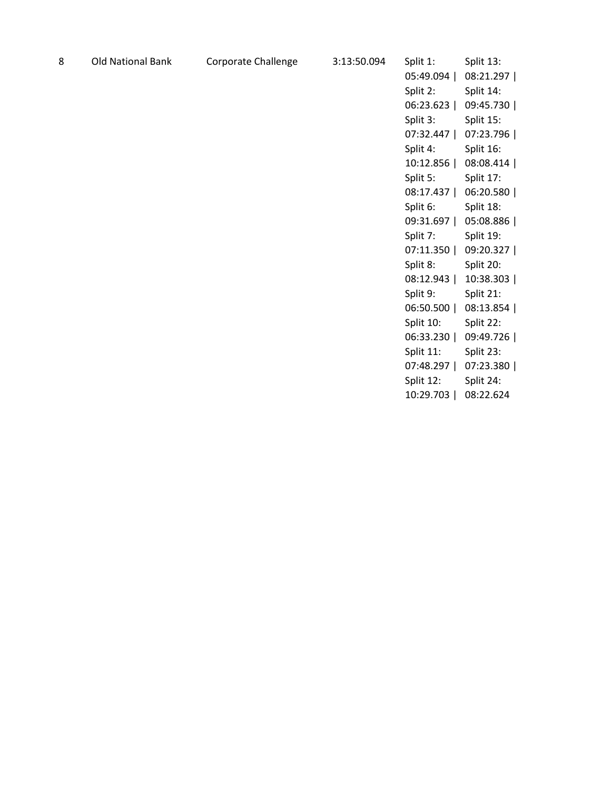| -8 | <b>Old National Bank</b> |  |
|----|--------------------------|--|
|----|--------------------------|--|

| Split 1:       | Split 13: |
|----------------|-----------|
| 05:49.094      | 08:21.297 |
| Split 2:       | Split 14: |
| 06:23.623      | 09:45.730 |
| Split 3:       | Split 15: |
| 07:32.447      | 07:23.796 |
| Split 4:       | Split 16: |
| 10:12.856      | 08:08.414 |
| Split 5:       | Split 17: |
| 08:17.437      | 06:20.580 |
| Split 6:       | Split 18: |
| 09:31.697      | 05:08.886 |
| Split 7:       | Split 19: |
| 07:11.350      | 09:20.327 |
| Split 8:       | Split 20: |
| 08:12.943      | 10:38.303 |
| Split 9:       | Split 21: |
| 06:50.500      | 08:13.854 |
| Split 10:      | Split 22: |
| 06:33.230      | 09:49.726 |
| Split 11:      | Split 23: |
| 07:48.297      | 07:23.380 |
| Split 12:      | Split 24: |
| 10:29.703<br>I | 08:22.624 |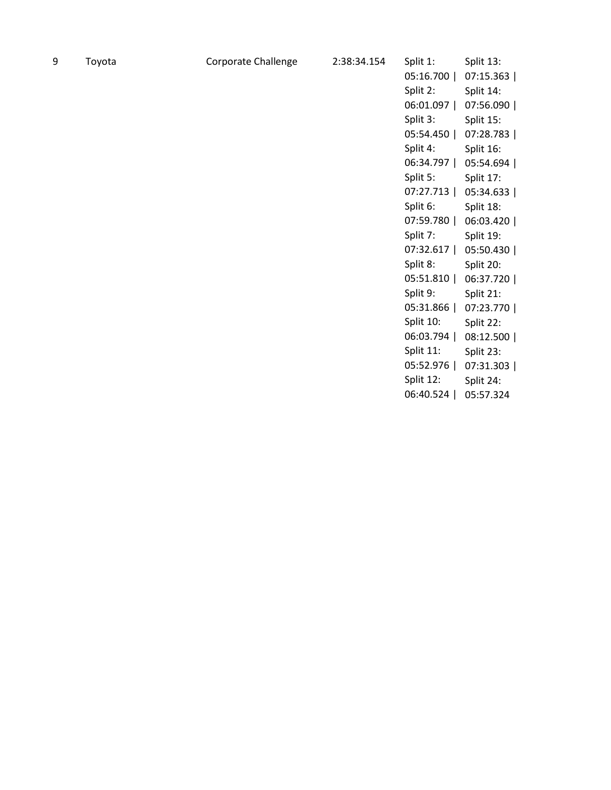| Toyota |
|--------|
|        |

| Split 1:                              | Split 13:   |
|---------------------------------------|-------------|
| 05:16.700                             | 07:15.363   |
| Split 2:                              | Split 14:   |
| 06:01.097<br>$\overline{\phantom{a}}$ | 07:56.090   |
| Split 3:                              | Split 15:   |
| 05:54.450<br>$\overline{\phantom{a}}$ | 07:28.783 l |
| Split 4:                              | Split 16:   |
| 06:34.797<br>$\overline{\phantom{a}}$ | 05:54.694   |
| Split 5:                              | Split 17:   |
| 07:27.713<br>I                        | 05:34.633   |
| Split 6:                              | Split 18:   |
| 07:59.780<br>$\overline{\phantom{a}}$ | 06:03.420   |
| Split 7:                              | Split 19:   |
| 07:32.617<br>$\overline{\phantom{a}}$ | 05:50.430   |
| Split 8:                              | Split 20:   |
| 05:51.810<br>I                        | 06:37.720   |
| Split 9:                              | Split 21:   |
| 05:31.866<br>$\overline{\phantom{a}}$ | 07:23.770   |
| Split 10:                             | Split 22:   |
| 06:03.794                             | 08:12.500   |
| Split 11:                             | Split 23:   |
| 05:52.976                             | 07:31.303   |
| Split 12:                             | Split 24:   |
| 06:40.524<br>I                        | 05:57.324   |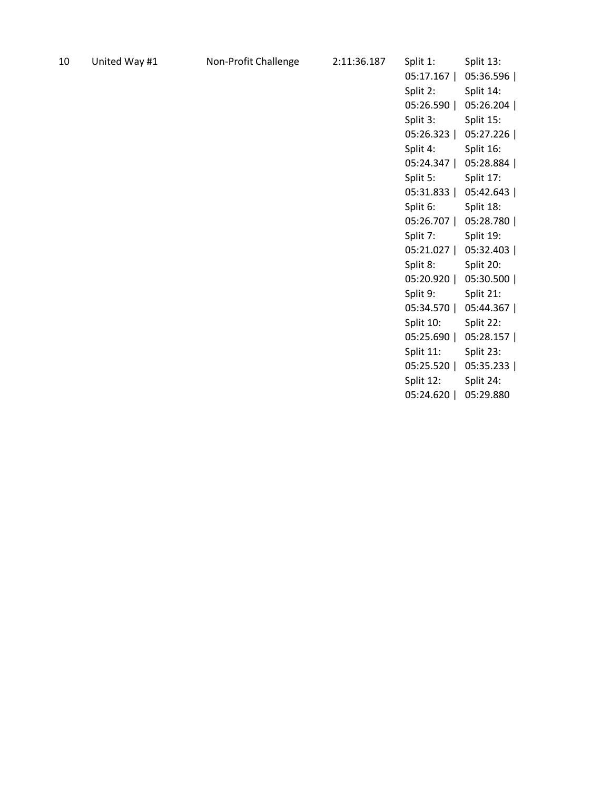| 10 | United Way # |  |
|----|--------------|--|
|----|--------------|--|

| Split 1:  | Split 13: |
|-----------|-----------|
| 05:17.167 | 05:36.596 |
| Split 2:  | Split 14: |
| 05:26.590 | 05:26.204 |
| Split 3:  | Split 15: |
| 05:26.323 | 05:27.226 |
| Split 4:  | Split 16: |
| 05:24.347 | 05:28.884 |
| Split 5:  | Split 17: |
| 05:31.833 | 05:42.643 |
| Split 6:  | Split 18: |
| 05:26.707 | 05:28.780 |
| Split 7:  | Split 19: |
| 05:21.027 | 05:32.403 |
| Split 8:  | Split 20: |
| 05:20.920 | 05:30.500 |
| Split 9:  | Split 21: |
| 05:34.570 | 05:44.367 |
| Split 10: | Split 22: |
| 05:25.690 | 05:28.157 |
| Split 11: | Split 23: |
| 05:25.520 | 05:35.233 |
| Split 12: | Split 24: |
| 05:24.620 | 05:29.880 |
|           |           |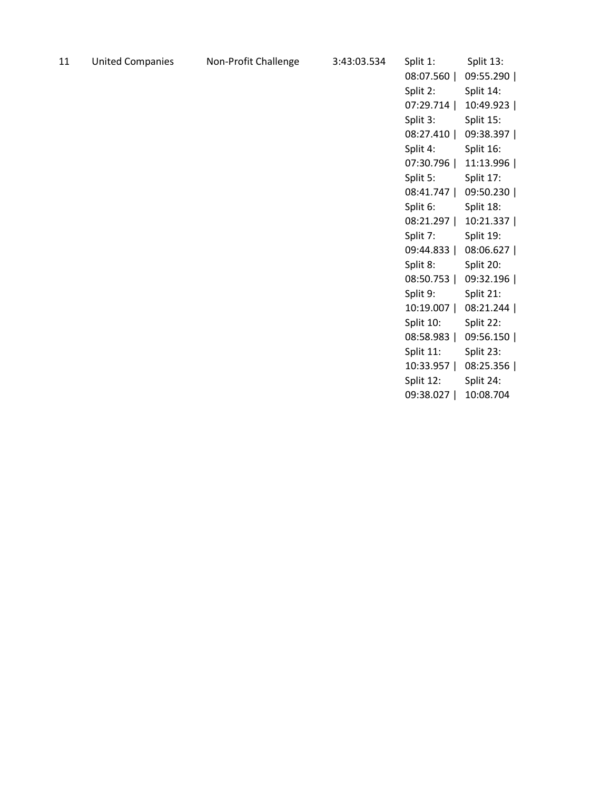| <b>United Companies</b> | 11 |  |  |
|-------------------------|----|--|--|
|-------------------------|----|--|--|

| Split 1:                              | Split 13: |
|---------------------------------------|-----------|
| 08:07.560                             | 09:55.290 |
| Split 2:                              | Split 14: |
| 07:29.714                             | 10:49.923 |
| Split 3:                              | Split 15: |
| 08:27.410                             | 09:38.397 |
| Split 4:                              | Split 16: |
| 07:30.796                             | 11:13.996 |
| Split 5:                              | Split 17: |
| 08:41.747<br>$\overline{\phantom{a}}$ | 09:50.230 |
| Split 6:                              | Split 18: |
| 08:21.297<br>$\overline{\phantom{a}}$ | 10:21.337 |
| Split 7:                              | Split 19: |
| 09:44.833<br>$\overline{\phantom{a}}$ | 08:06.627 |
| Split 8:                              | Split 20: |
| 08:50.753                             | 09:32.196 |
| Split 9:                              | Split 21: |
| 10:19.007<br>$\overline{\phantom{a}}$ | 08:21.244 |
| Split 10:                             | Split 22: |
| 08:58.983                             | 09:56.150 |
| Split 11:                             | Split 23: |
| 10:33.957                             | 08:25.356 |
| Split 12:                             | Split 24: |
| 09:38.027<br>I                        | 10:08.704 |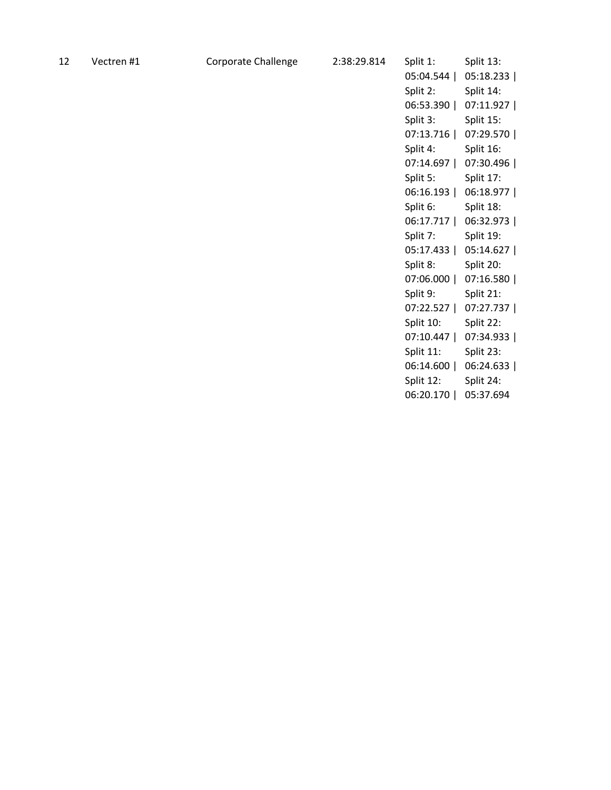| 12 | Vectren #1 |  |
|----|------------|--|
|    |            |  |
|    |            |  |

| Split 1:       | Split 13:  |
|----------------|------------|
| 05:04.544      | 05:18.233  |
| Split 2:       | Split 14:  |
| 06:53.390      | 07:11.927  |
| Split 3:       | Split 15:  |
| 07:13.716      | 07:29.570  |
| Split 4:       | Split 16:  |
| 07:14.697      | 07:30.496  |
| Split 5:       | Split 17:  |
| 06:16.193      | 06:18.977  |
| Split 6:       | Split 18:  |
| 06:17.717      | 06:32.973  |
| Split 7:       | Split 19:  |
| 05:17.433      | 05:14.627  |
| Split 8:       | Split 20:  |
| 07:06.000      | 07:16.580  |
| Split 9:       | Split 21:  |
| 07:22.527      | 07:27.737丨 |
| Split 10:      | Split 22:  |
| 07:10.447      | 07:34.933丨 |
| Split 11:      | Split 23:  |
| 06:14.600      | 06:24.633  |
| Split 12:      | Split 24:  |
| 06:20.170<br>I | 05:37.694  |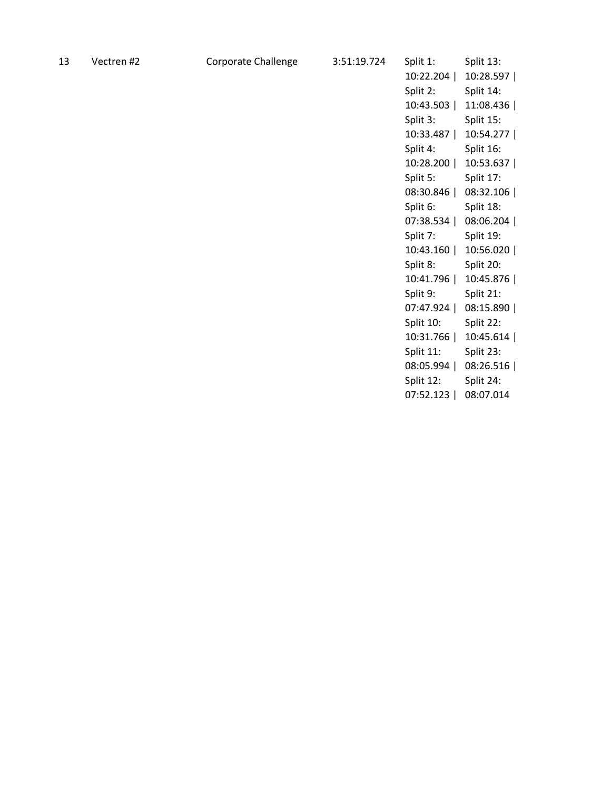| Split 1:       | Split 13: |
|----------------|-----------|
| 10:22.204      | 10:28.597 |
| Split 2:       | Split 14: |
| 10:43.503      | 11:08.436 |
| Split 3:       | Split 15: |
| 10:33.487      | 10:54.277 |
| Split 4:       | Split 16: |
| 10:28.200      | 10:53.637 |
| Split 5:       | Split 17: |
| 08:30.846      | 08:32.106 |
| Split 6:       | Split 18: |
| 07:38.534      | 08:06.204 |
| Split 7:       | Split 19: |
| 10:43.160      | 10:56.020 |
| Split 8:       | Split 20: |
| 10:41.796      | 10:45.876 |
| Split 9:       | Split 21: |
| 07:47.924      | 08:15.890 |
| Split 10:      | Split 22: |
| 10:31.766      | 10:45.614 |
| Split 11:      | Split 23: |
| 08:05.994      | 08:26.516 |
| Split 12:      | Split 24: |
| 07:52.123<br>I | 08:07.014 |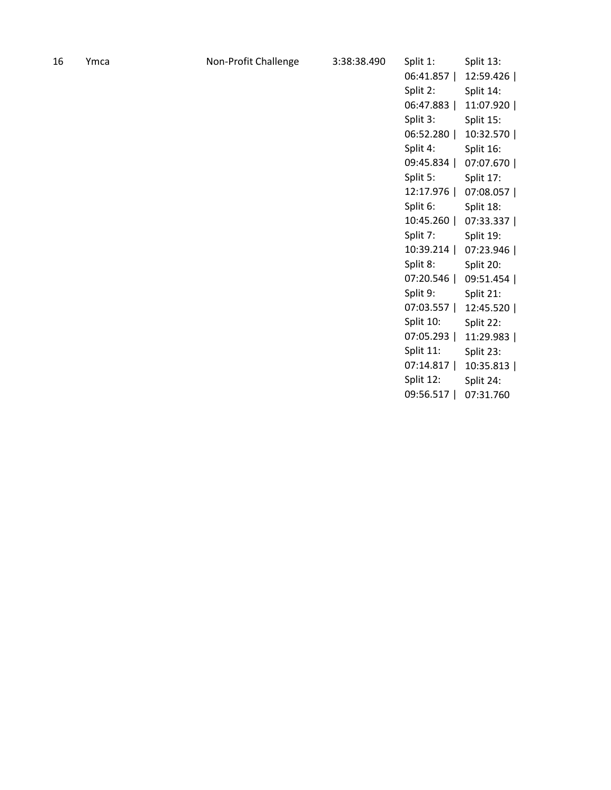| 16 | Ymca |
|----|------|
|----|------|

| Split 1:                              | Split 13: |
|---------------------------------------|-----------|
| 06:41.857                             | 12:59.426 |
| Split 2:                              | Split 14: |
| 06:47.883                             | 11:07.920 |
| Split 3:                              | Split 15: |
| 06:52.280                             | 10:32.570 |
| Split 4:                              | Split 16: |
| 09:45.834                             | 07:07.670 |
| Split 5:                              | Split 17: |
| 12:17.976<br>$\overline{\phantom{a}}$ | 07:08.057 |
| Split 6:                              | Split 18: |
| 10:45.260<br>I                        | 07:33.337 |
| Split 7:                              | Split 19: |
| 10:39.214<br>I                        | 07:23.946 |
| Split 8:                              | Split 20: |
| 07:20.546<br>I                        | 09:51.454 |
| Split 9:                              | Split 21: |
| 07:03.557                             | 12:45.520 |
| Split 10:                             | Split 22: |
| 07:05.293                             | 11:29.983 |
| Split 11:                             | Split 23: |
| 07:14.817                             | 10:35.813 |
| Split 12:                             | Split 24: |
| 09:56.517<br>I                        | 07:31.760 |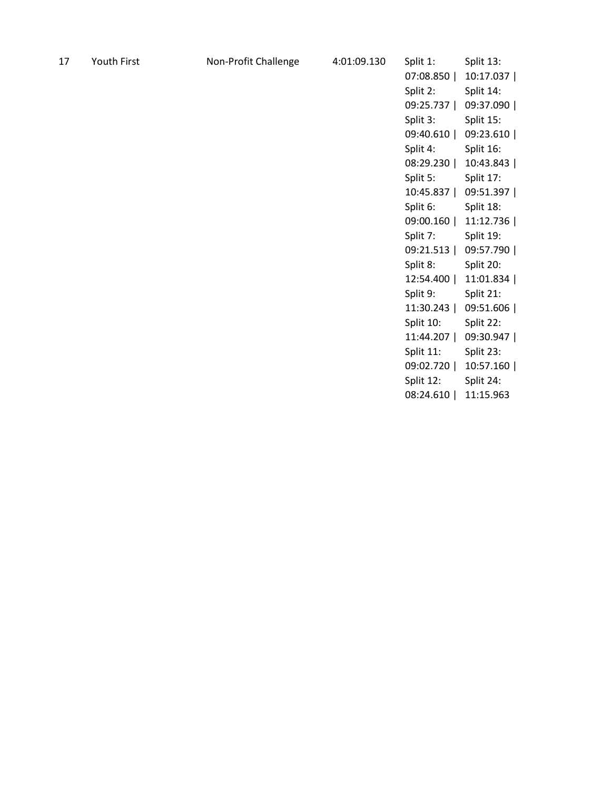| 17 | Youth First | Non-Profit Challenge | 4:01:09.130 | Split 1:  | Split 13: |
|----|-------------|----------------------|-------------|-----------|-----------|
|    |             |                      |             | 07:08.850 | 10:17.037 |
|    |             |                      |             | Split 2:  | Split 14: |
|    |             |                      |             | 09:25.737 | 09:37.090 |
|    |             |                      |             | Split 3:  | Split 15: |
|    |             |                      |             | 09:40.610 | 09:23.610 |
|    |             |                      |             | Split 4:  | Split 16: |
|    |             |                      |             | 08:29.230 | 10:43.843 |
|    |             |                      |             | Split 5:  | Split 17: |
|    |             |                      |             | 10:45.837 | 09:51.397 |
|    |             |                      |             | Split 6:  | Split 18: |
|    |             |                      |             | 09:00.160 | 11:12.736 |
|    |             |                      |             | Split 7:  | Split 19: |
|    |             |                      |             | 09:21.513 | 09:57.790 |
|    |             |                      |             | Split 8:  | Split 20: |
|    |             |                      |             | 12:54.400 | 11:01.834 |
|    |             |                      |             | Split 9:  | Split 21: |
|    |             |                      |             | 11:30.243 | 09:51.606 |
|    |             |                      |             | Split 10: | Split 22: |
|    |             |                      |             | 11:44.207 | 09:30.947 |
|    |             |                      |             | Split 11: | Split 23: |
|    |             |                      |             | 09:02.720 | 10:57.160 |
|    |             |                      |             | Split 12: | Split 24: |
|    |             |                      |             | 08:24.610 | 11:15.963 |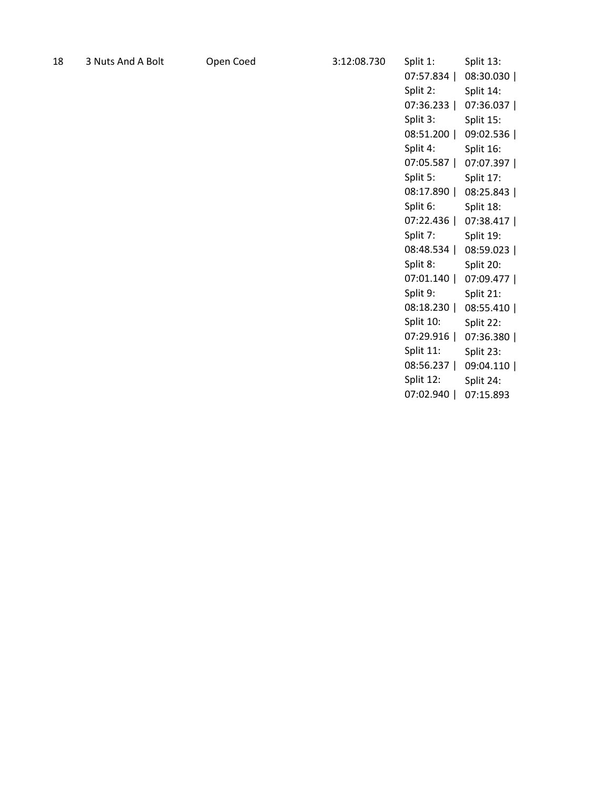| -18 |  | 3 Nuts And A Bo |  |  |  |
|-----|--|-----------------|--|--|--|
|-----|--|-----------------|--|--|--|

| Split 1:         | Split 13:  |
|------------------|------------|
| 07:57.834        | 08:30.030  |
| Split 2:         | Split 14:  |
| 07:36.233        | 07:36.037  |
| Split 3:         | Split 15:  |
| 08:51.200<br>1   | 09:02.536  |
| Split 4:         | Split 16:  |
| 07:05.587<br>- 1 | 07:07.397  |
| Split 5:         | Split 17:  |
| 08:17.890        | 08:25.843  |
| Split 6:         | Split 18:  |
| 07:22.436        | 07:38.417  |
| Split 7:         | Split 19:  |
| 08:48.534        | 08:59.023  |
| Split 8:         | Split 20:  |
| 07:01.140        | 07:09.477丨 |
| Split 9:         | Split 21:  |
| 08:18.230<br>1   | 08:55.410  |
| Split 10:        | Split 22:  |
| 07:29.916        | 07:36.380  |
| Split 11:        | Split 23:  |
| 08:56.237        | 09:04.110  |
| Split 12:        | Split 24:  |
| 07:02.940<br>I   | 07:15.893  |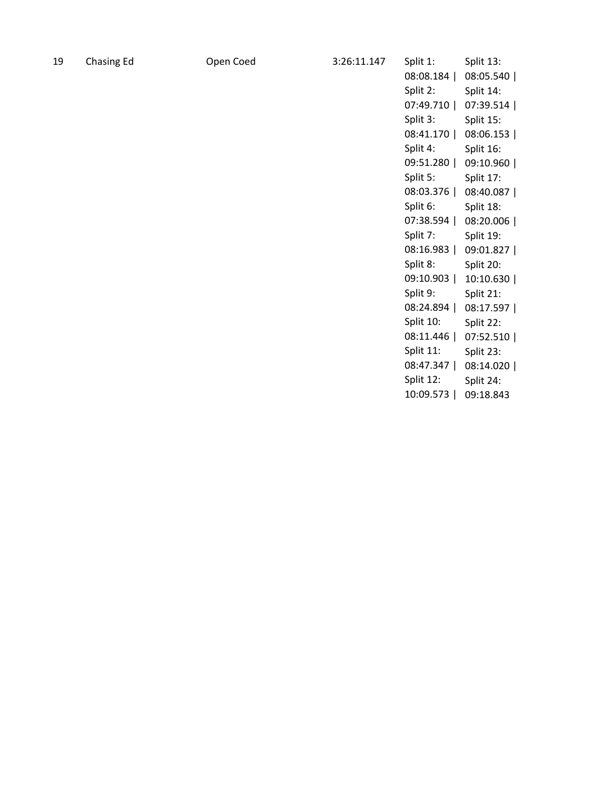| 19 | <b>Chasing Ed</b> | Open Coed | 3:26:11.147 | Split 1:  | Split 13: |
|----|-------------------|-----------|-------------|-----------|-----------|
|    |                   |           |             | 08:08.184 | 08:05.540 |
|    |                   |           |             | Split 2:  | Split 14: |
|    |                   |           |             | 07:49.710 | 07:39.514 |
|    |                   |           |             | Split 3:  | Split 15: |
|    |                   |           |             | 08:41.170 | 08:06.153 |
|    |                   |           |             | Split 4:  | Split 16: |
|    |                   |           |             | 09:51.280 | 09:10.960 |
|    |                   |           |             | Split 5:  | Split 17: |
|    |                   |           |             | 08:03.376 | 08:40.087 |
|    |                   |           |             | Split 6:  | Split 18: |
|    |                   |           |             | 07:38.594 | 08:20.006 |
|    |                   |           |             | Split 7:  | Split 19: |
|    |                   |           |             | 08:16.983 | 09:01.827 |
|    |                   |           |             | Split 8:  | Split 20: |
|    |                   |           |             | 09:10.903 | 10:10.630 |
|    |                   |           |             | Split 9:  | Split 21: |
|    |                   |           |             | 08:24.894 | 08:17.597 |
|    |                   |           |             | Split 10: | Split 22: |
|    |                   |           |             | 08:11.446 | 07:52.510 |
|    |                   |           |             | Split 11: | Split 23: |
|    |                   |           |             | 08:47.347 | 08:14.020 |
|    |                   |           |             | Split 12: | Split 24: |
|    |                   |           |             | 10:09.573 | 09:18.843 |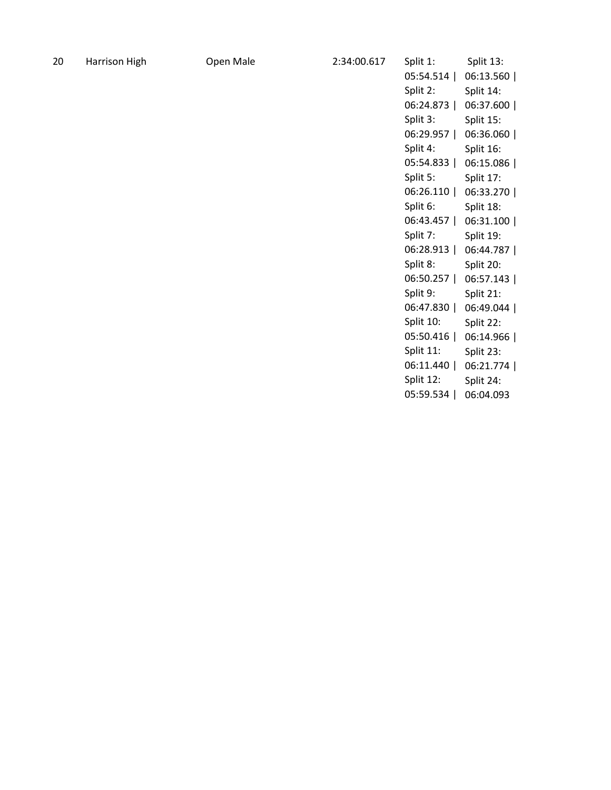| Split 1:       | Split 13: |
|----------------|-----------|
| 05:54.514      | 06:13.560 |
| Split 2:       | Split 14: |
| 06:24.873      | 06:37.600 |
| Split 3:       | Split 15: |
| 06:29.957      | 06:36.060 |
| Split 4:       | Split 16: |
| 05:54.833      | 06:15.086 |
| Split 5:       | Split 17: |
| 06:26.110      | 06:33.270 |
| Split 6:       | Split 18: |
| 06:43.457      | 06:31.100 |
| Split 7:       | Split 19: |
| 06:28.913      | 06:44.787 |
| Split 8:       | Split 20: |
| 06:50.257      | 06:57.143 |
| Split 9:       | Split 21: |
| 06:47.830      | 06:49.044 |
| Split 10:      | Split 22: |
| 05:50.416      | 06:14.966 |
| Split 11:      | Split 23: |
| 06:11.440      | 06:21.774 |
| Split 12:      | Split 24: |
| 05:59.534<br>I | 06:04.093 |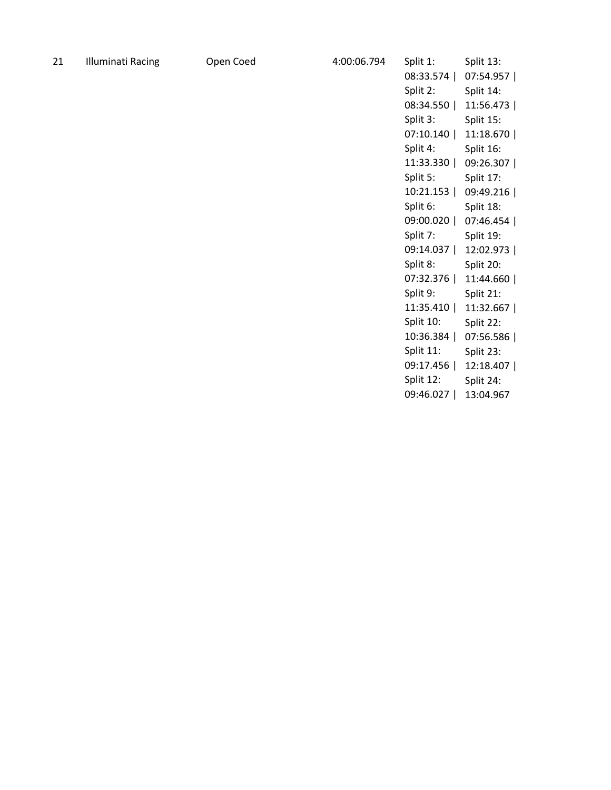| 21 | Illuminati Racing |  |
|----|-------------------|--|
|----|-------------------|--|

| Split 1:       | Split 13: |
|----------------|-----------|
| 08:33.574      | 07:54.957 |
| Split 2:       | Split 14: |
| 08:34.550      | 11:56.473 |
| Split 3:       | Split 15: |
| 07:10.140      | 11:18.670 |
| Split 4:       | Split 16: |
| 11:33.330      | 09:26.307 |
| Split 5:       | Split 17: |
| 10:21.153      | 09:49.216 |
| Split 6:       | Split 18: |
| 09:00.020      | 07:46.454 |
| Split 7:       | Split 19: |
| 09:14.037<br>ı | 12:02.973 |
| Split 8:       | Split 20: |
| 07:32.376      | 11:44.660 |
| Split 9:       | Split 21: |
| 11:35.410      | 11:32.667 |
| Split 10:      | Split 22: |
| 10:36.384      | 07:56.586 |
| Split 11:      | Split 23: |
| 09:17.456      | 12:18.407 |
| Split 12:      | Split 24: |
| 09:46.027<br>I | 13:04.967 |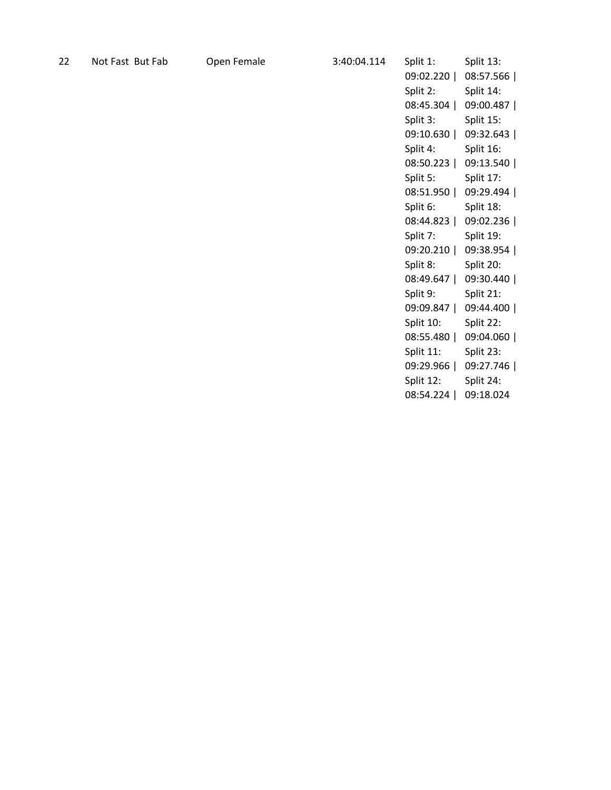| 22 | Not Fast But Fab | Open Female | 3:40:04.114 | Split 1:  | Split 13: |
|----|------------------|-------------|-------------|-----------|-----------|
|    |                  |             |             | 09:02.220 | 08:57.566 |
|    |                  |             |             | Split 2:  | Split 14: |
|    |                  |             |             | 08:45.304 | 09:00.487 |
|    |                  |             |             | Split 3:  | Split 15: |
|    |                  |             |             | 09:10.630 | 09:32.643 |
|    |                  |             |             | Split 4:  | Split 16: |
|    |                  |             |             | 08:50.223 | 09:13.540 |
|    |                  |             |             | Split 5:  | Split 17: |
|    |                  |             |             | 08:51.950 | 09:29.494 |
|    |                  |             |             | Split 6:  | Split 18: |
|    |                  |             |             | 08:44.823 | 09:02.236 |
|    |                  |             |             | Split 7:  | Split 19: |
|    |                  |             |             | 09:20.210 | 09:38.954 |
|    |                  |             |             | Split 8:  | Split 20: |
|    |                  |             |             | 08:49.647 | 09:30.440 |
|    |                  |             |             | Split 9:  | Split 21: |
|    |                  |             |             | 09:09.847 | 09:44.400 |
|    |                  |             |             | Split 10: | Split 22: |
|    |                  |             |             | 08:55.480 | 09:04.060 |
|    |                  |             |             | Split 11: | Split 23: |
|    |                  |             |             | 09:29.966 | 09:27.746 |
|    |                  |             |             | Split 12: | Split 24: |
|    |                  |             |             | 08:54.224 | 09:18.024 |
|    |                  |             |             |           |           |